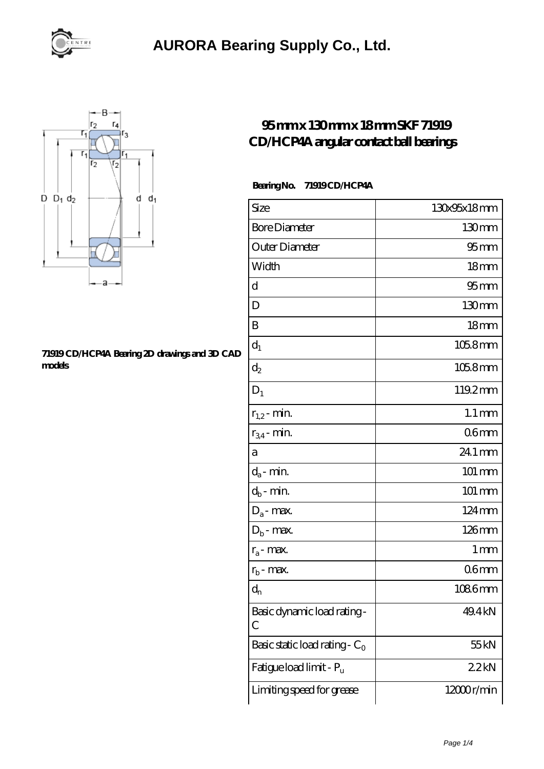



#### **[71919 CD/HCP4A Bearing 2D drawings and 3D CAD](https://m.hndli.com/pic-171250.html) [models](https://m.hndli.com/pic-171250.html)**

## **[95 mm x 130 mm x 18 mm SKF 71919](https://m.hndli.com/au-171250-skf-71919-cd-hcp4a-angular-contact-ball-bearings.html) [CD/HCP4A angular contact ball bearings](https://m.hndli.com/au-171250-skf-71919-cd-hcp4a-angular-contact-ball-bearings.html)**

### **Bearing No. 71919 CD/HCP4A**

| Size                             | 130x95x18mm          |
|----------------------------------|----------------------|
| <b>Bore Diameter</b>             | 130 <sub>mm</sub>    |
| Outer Diameter                   | $95 \text{mm}$       |
| Width                            | 18 <sub>mm</sub>     |
| d                                | 95 <sub>mm</sub>     |
| D                                | 130 <sub>mm</sub>    |
| B                                | 18mm                 |
| $d_1$                            | $1058$ mm            |
| $d_2$                            | $1058$ mm            |
| $D_1$                            | 119.2mm              |
| $r_{1,2}$ - min.                 | $1.1 \,\mathrm{mm}$  |
| $r_{34}$ - min.                  | 06 <sub>mm</sub>     |
| а                                | 24.1 mm              |
| $d_a$ - min.                     | $101 \, \mathrm{mm}$ |
| $d_b$ - $\min$                   | 101 mm               |
| $D_a$ - max.                     | 124mm                |
| $D_b$ - max.                     | 126mm                |
| $r_a$ - max.                     | 1 <sub>mm</sub>      |
| $r_{b}$ - max.                   | 06 <sub>mm</sub>     |
| $\mathrm{d}_{\mathrm{n}}$        | 1086mm               |
| Basic dynamic load rating-<br>С  | 49.4 kN              |
| Basic static load rating - $C_0$ | 55 <sub>kN</sub>     |
| Fatigue load limit - Pu          | 22kN                 |
| Limiting speed for grease        | 12000r/min           |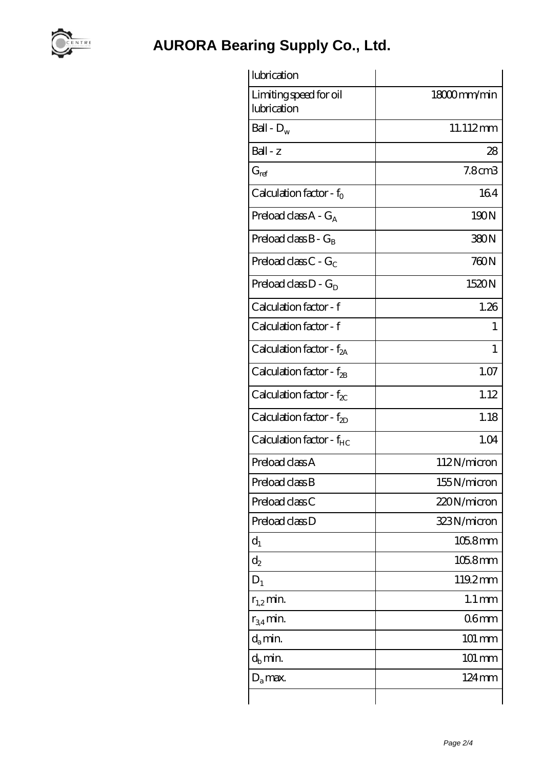

| Limiting speed for oil               | 18000mm/min         |
|--------------------------------------|---------------------|
| lubrication                          |                     |
| Ball - $D_w$                         | 11.112mm            |
| $Ball - z$                           | 28                  |
| $G_{ref}$                            | 7.8 <sub>cm3</sub>  |
| Calculation factor - $f_0$           | 164                 |
| Preload class $A - G_A$              | 190N                |
| Preload class $B - G_B$              | 380N                |
| Preload class $C - G_C$              | 760N                |
| Preload class $D - G_D$              | 1520N               |
| Calculation factor - f               | 1.26                |
| Calculation factor - f               | 1                   |
| Calculation factor - $f_{2A}$        | 1                   |
| Calculation factor - $f_{2B}$        | 1.07                |
| Calculation factor - $f_{\chi}$      | 1.12                |
| Calculation factor - $f_{2D}$        | 1.18                |
| Calculation factor - f <sub>HC</sub> | 1.04                |
| Preload class A                      | 112N/micron         |
| Preload class B                      | 155N/micron         |
| Preload class C                      | 220N/micron         |
| Preload class D                      | 323N/micron         |
| $d_1$                                | $1058$ mm           |
| $\mathrm{d}_2$                       | $1058$ mm           |
| $D_1$                                | 119.2mm             |
| $r_{1,2}$ min.                       | $1.1 \,\mathrm{mm}$ |
| $r_{34}$ min.                        | 06 <sub>mm</sub>    |
| $d_a$ min.                           | $101 \text{ mm}$    |
| $d_h$ min.                           | $101 \, \text{mm}$  |
| $D_a$ max.                           | 124mm               |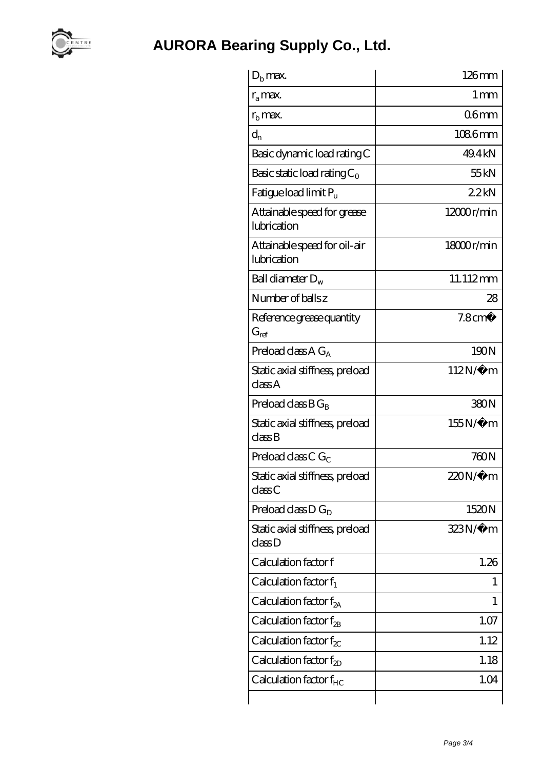

| $D_h$ max.                                  | $126$ mm                      |
|---------------------------------------------|-------------------------------|
| $r_a$ max.                                  | $1 \,\mathrm{mm}$             |
| $r_{\rm b}$ max.                            | 06mm                          |
| $d_{n}$                                     | 1086mm                        |
| Basic dynamic load rating C                 | 49.4 kN                       |
| Basic static load rating $C_0$              | 55kN                          |
| Fatigue load limit P <sub>u</sub>           | 22kN                          |
| Attainable speed for grease<br>lubrication  | 12000r/min                    |
| Attainable speed for oil-air<br>lubrication | $18000$ r/min                 |
| Ball diameter $D_w$                         | 11.112mm                      |
| Number of balls z                           | 28                            |
| Reference grease quantity<br>$G_{ref}$      | 7.8 <sup>cm<sup>3</sup></sup> |
| Preload class $A G_A$                       | 190N                          |
| Static axial stiffness, preload<br>classA   | $112N/\mu$ m                  |
| Preload class $BG_R$                        | 380N                          |
| Static axial stiffness, preload<br>classB   | $155N/\mu$ m                  |
| Preload class $CG_C$                        | 760N                          |
| Static axial stiffness, preload<br>class C  | 220N/μ m                      |
| Preload class $D G_D$                       | 1520N                         |
| Static axial stiffness, preload<br>classD   | 323N/µ m                      |
| Calculation factor f                        | 1.26                          |
| Calculation factor $f_1$                    | 1                             |
| Calculation factor $f_{2A}$                 | 1                             |
| Calculation factor $f_{\mathcal{B}}$        | 1.07                          |
| Calculation factor $f_{\chi}$               | 1.12                          |
| Calculation factor $f_{2D}$                 | 1.18                          |
| Calculation factor $f_{HC}$                 | 1.04                          |